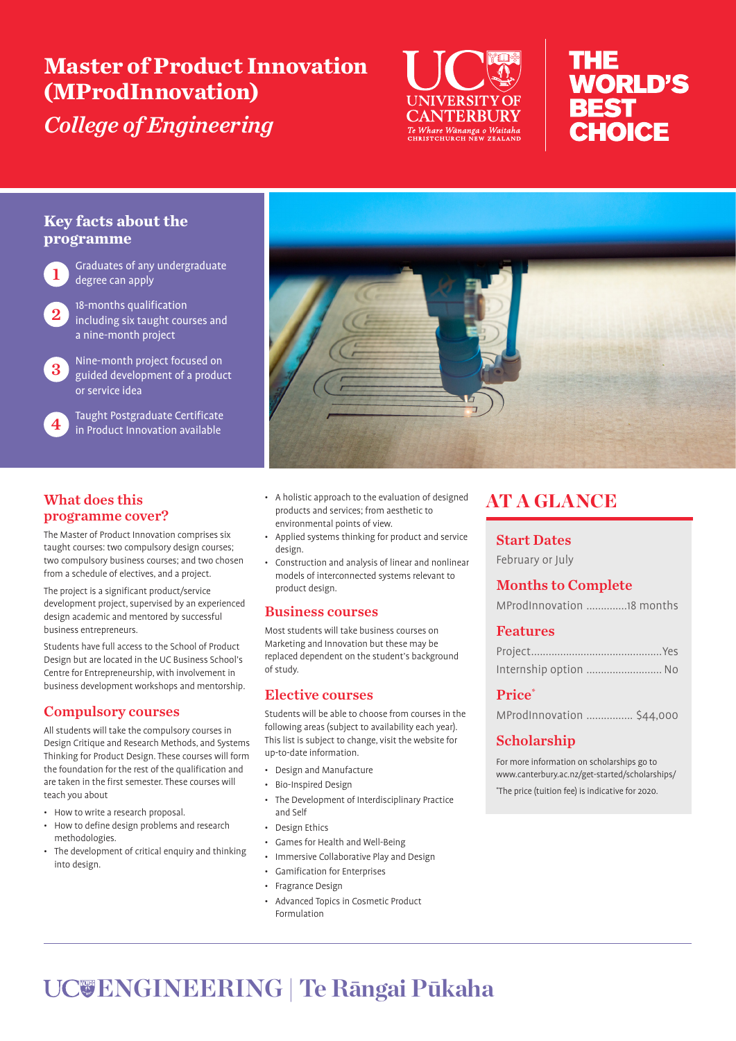# **Master of Product Innovation (MProdInnovation)** *College of Engineering*



# nHE **WORLD'S BEST CHOICE**

#### **Key facts about the programme**

Graduates of any undergraduate degree can apply

2 18-months qualification<br>and including six taught courses and a nine-month project

3 Nine-month project focused on guided development of a product or service idea

4 Taught Postgraduate Certificate in Product Innovation available



### What does this programme cover?

The Master of Product Innovation comprises six taught courses: two compulsory design courses; two compulsory business courses; and two chosen from a schedule of electives, and a project.

The project is a significant product/service development project, supervised by an experienced design academic and mentored by successful business entrepreneurs.

Students have full access to the School of Product Design but are located in the UC Business School's Centre for Entrepreneurship, with involvement in business development workshops and mentorship.

#### Compulsory courses

All students will take the compulsory courses in Design Critique and Research Methods, and Systems Thinking for Product Design. These courses will form the foundation for the rest of the qualification and are taken in the first semester. These courses will teach you about

- How to write a research proposal.
- How to define design problems and research methodologies.
- The development of critical enquiry and thinking into design.
- A holistic approach to the evaluation of designed products and services; from aesthetic to environmental points of view.
- Applied systems thinking for product and service design.
- Construction and analysis of linear and nonlinear models of interconnected systems relevant to product design.

#### Business courses

Most students will take business courses on Marketing and Innovation but these may be replaced dependent on the student's background of study.

#### Elective courses

Students will be able to choose from courses in the following areas (subject to availability each year). This list is subject to change, visit the website for up-to-date information.

- Design and Manufacture
- Bio-Inspired Design
- The Development of Interdisciplinary Practice and Self
- Design Ethics
- Games for Health and Well-Being
- Immersive Collaborative Play and Design
- Gamification for Enterprises
- Fragrance Design
- Advanced Topics in Cosmetic Product Formulation

## AT A GLANCE

#### Start Dates

February or July

### Months to Complete

#### Features

| Internship option  No |  |  |  |
|-----------------------|--|--|--|

#### Price<sup>\*</sup>

MProdInnovation ................ \$44,000

#### Scholarship

For more information on scholarships go to www.canterbury.ac.nz/get-started/scholarships/ \* The price (tuition fee) is indicative for 2020.